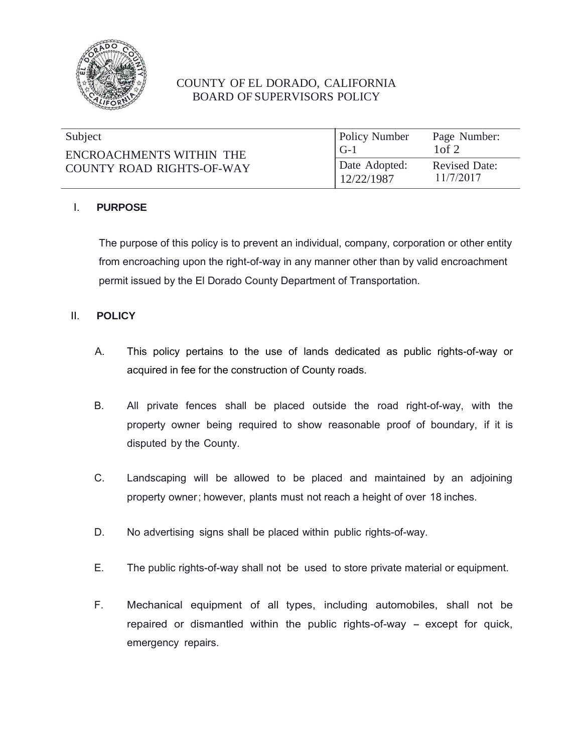

# COUNTY OF EL DORADO, CALIFORNIA BOARD OF SUPERVISORS POLICY

| Subject                   | <b>Policy Number</b>        | Page Number:                      |
|---------------------------|-----------------------------|-----------------------------------|
| ENCROACHMENTS WITHIN THE  | $G-1$                       | $1$ of $2$                        |
| COUNTY ROAD RIGHTS-OF-WAY | Date Adopted:<br>12/22/1987 | <b>Revised Date:</b><br>11/7/2017 |

## I. **PURPOSE**

The purpose of this policy is to prevent an individual, company, corporation or other entity from encroaching upon the right-of-way in any manner other than by valid encroachment permit issued by the El Dorado County Department of Transportation.

## II. **POLICY**

- A. This policy pertains to the use of lands dedicated as public rights-of-way or acquired in fee for the construction of County roads.
- B. All private fences shall be placed outside the road right-of-way, with the property owner being required to show reasonable proof of boundary, if it is disputed by the County.
- C. Landscaping will be allowed to be placed and maintained by an adjoining property owner; however, plants must not reach a height of over 18 inches.
- D. No advertising signs shall be placed within public rights-of-way.
- E. The public rights-of-way shall not be used to store private material or equipment.
- F. Mechanical equipment of all types, including automobiles, shall not be repaired or dismantled within the public rights-of-way – except for quick, emergency repairs.